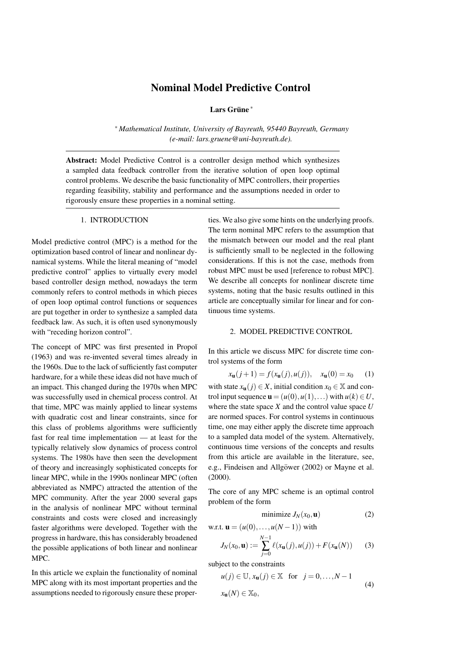# Nominal Model Predictive Control

Lars Grüne<sup>\*</sup>

⇤ *Mathematical Institute, University of Bayreuth, 95440 Bayreuth, Germany (e-mail: lars.gruene@uni-bayreuth.de).*

Abstract: Model Predictive Control is a controller design method which synthesizes a sampled data feedback controller from the iterative solution of open loop optimal control problems. We describe the basic functionality of MPC controllers, their properties regarding feasibility, stability and performance and the assumptions needed in order to rigorously ensure these properties in a nominal setting.

#### 1. INTRODUCTION

Model predictive control (MPC) is a method for the optimization based control of linear and nonlinear dynamical systems. While the literal meaning of "model predictive control" applies to virtually every model based controller design method, nowadays the term commonly refers to control methods in which pieces of open loop optimal control functions or sequences are put together in order to synthesize a sampled data feedback law. As such, it is often used synonymously with "receding horizon control".

The concept of MPC was first presented in Propoĭ (1963) and was re-invented several times already in the 1960s. Due to the lack of sufficiently fast computer hardware, for a while these ideas did not have much of an impact. This changed during the 1970s when MPC was successfully used in chemical process control. At that time, MPC was mainly applied to linear systems with quadratic cost and linear constraints, since for this class of problems algorithms were sufficiently fast for real time implementation — at least for the typically relatively slow dynamics of process control systems. The 1980s have then seen the development of theory and increasingly sophisticated concepts for linear MPC, while in the 1990s nonlinear MPC (often abbreviated as NMPC) attracted the attention of the MPC community. After the year 2000 several gaps in the analysis of nonlinear MPC without terminal constraints and costs were closed and increasingly faster algorithms were developed. Together with the progress in hardware, this has considerably broadened the possible applications of both linear and nonlinear MPC.

In this article we explain the functionality of nominal MPC along with its most important properties and the assumptions needed to rigorously ensure these properties. We also give some hints on the underlying proofs. The term nominal MPC refers to the assumption that the mismatch between our model and the real plant is sufficiently small to be neglected in the following considerations. If this is not the case, methods from robust MPC must be used [reference to robust MPC]. We describe all concepts for nonlinear discrete time systems, noting that the basic results outlined in this article are conceptually similar for linear and for continuous time systems.

## 2. MODEL PREDICTIVE CONTROL

In this article we discuss MPC for discrete time control systems of the form

$$
x_{\mathbf{u}}(j+1) = f(x_{\mathbf{u}}(j), u(j)), \quad x_{\mathbf{u}}(0) = x_0 \tag{1}
$$

with state  $x_{\mathbf{u}}(j) \in X$ , initial condition  $x_0 \in \mathbb{X}$  and control input sequence  $\mathbf{u} = (u(0), u(1), \ldots)$  with  $u(k) \in U$ . where the state space *X* and the control value space *U* are normed spaces. For control systems in continuous time, one may either apply the discrete time approach to a sampled data model of the system. Alternatively, continuous time versions of the concepts and results from this article are available in the literature, see, e.g., Findeisen and Allgöwer (2002) or Mayne et al. (2000).

The core of any MPC scheme is an optimal control problem of the form

$$
minimize J_N(x_0, \mathbf{u})
$$
 (2)

w.r.t. **u** = 
$$
(u(0),...,u(N-1))
$$
 with

$$
J_N(x_0, \mathbf{u}) := \sum_{j=0}^{N-1} \ell(x_{\mathbf{u}}(j), u(j)) + F(x_{\mathbf{u}}(N)) \tag{3}
$$

subject to the constraints

$$
u(j) \in \mathbb{U}, x_{\mathbf{u}}(j) \in \mathbb{X} \text{ for } j = 0, \dots, N - 1
$$
  

$$
x_{\mathbf{u}}(N) \in \mathbb{X}_0,
$$
 (4)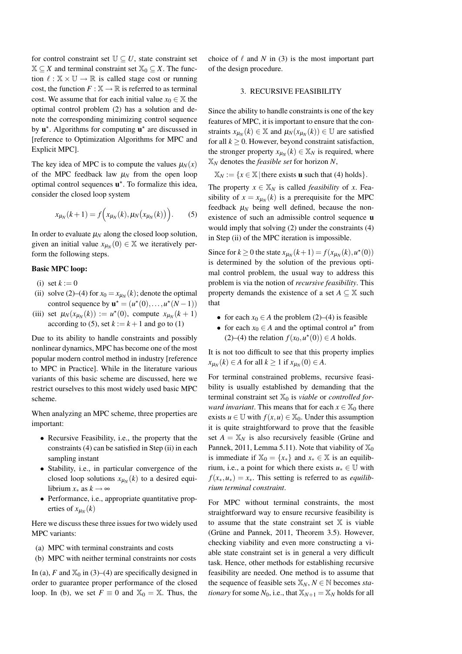for control constraint set  $\mathbb{U} \subset U$ , state constraint set  $X \subseteq X$  and terminal constraint set  $X_0 \subseteq X$ . The function  $\ell : \mathbb{X} \times \mathbb{U} \to \mathbb{R}$  is called stage cost or running cost, the function  $F : \mathbb{X} \to \mathbb{R}$  is referred to as terminal cost. We assume that for each initial value  $x_0 \in \mathbb{X}$  the optimal control problem (2) has a solution and denote the corresponding minimizing control sequence by  $\mathbf{u}^*$ . Algorithms for computing  $\mathbf{u}^*$  are discussed in [reference to Optimization Algorithms for MPC and Explicit MPC].

The key idea of MPC is to compute the values  $\mu_N(x)$ of the MPC feedback law  $\mu_N$  from the open loop optimal control sequences  $\mathbf{u}^*$ . To formalize this idea, consider the closed loop system

$$
x_{\mu_N}(k+1) = f\Big(x_{\mu_N}(k), \mu_N(x_{\mu_N}(k))\Big). \tag{5}
$$

In order to evaluate  $\mu_N$  along the closed loop solution, given an initial value  $x_{\mu_N}(0) \in \mathbb{X}$  we iteratively perform the following steps.

## Basic MPC loop:

- (i) set  $k := 0$
- (ii) solve (2)–(4) for  $x_0 = x_{\mu_N}(k)$ ; denote the optimal control sequence by  $\mathbf{u}^* = (u^*(0), \dots, u^*(N-1))$
- (iii) set  $\mu_N(x_{\mu_N}(k)) := u^*(0)$ , compute  $x_{\mu_N}(k+1)$ according to (5), set  $k := k + 1$  and go to (1)

Due to its ability to handle constraints and possibly nonlinear dynamics, MPC has become one of the most popular modern control method in industry [reference to MPC in Practice]. While in the literature various variants of this basic scheme are discussed, here we restrict ourselves to this most widely used basic MPC scheme.

When analyzing an MPC scheme, three properties are important:

- Recursive Feasibility, *i.e.*, the property that the constraints (4) can be satisfied in Step (ii) in each sampling instant
- *•* Stability, i.e., in particular convergence of the closed loop solutions  $x_{\mu_N}(k)$  to a desired equilibrium  $x_*$  as  $k \to \infty$
- Performance, i.e., appropriate quantitative properties of  $x_{\mu_N}(k)$

Here we discuss these three issues for two widely used MPC variants:

- (a) MPC with terminal constraints and costs
- (b) MPC with neither terminal constraints nor costs

In (a), *F* and  $\mathbb{X}_0$  in (3)–(4) are specifically designed in order to guarantee proper performance of the closed loop. In (b), we set  $F \equiv 0$  and  $\mathbb{X}_0 = \mathbb{X}$ . Thus, the choice of  $\ell$  and  $N$  in (3) is the most important part of the design procedure.

#### 3. RECURSIVE FEASIBILITY

Since the ability to handle constraints is one of the key features of MPC, it is important to ensure that the constraints  $x_{\mu_N}(k) \in \mathbb{X}$  and  $\mu_N(x_{\mu_N}(k)) \in \mathbb{U}$  are satisfied for all  $k \geq 0$ . However, beyond constraint satisfaction, the stronger property  $x_{\mu_N}(k) \in \mathbb{X}_N$  is required, where X*<sup>N</sup>* denotes the *feasible set* for horizon *N*,

$$
\mathbb{X}_N := \{x \in \mathbb{X} \mid \text{there exists } u \text{ such that (4) holds}\}.
$$

The property  $x \in X_N$  is called *feasibility* of *x*. Feasibility of  $x = x_{\mu_N}(k)$  is a prerequisite for the MPC feedback  $\mu_N$  being well defined, because the nonexistence of such an admissible control sequence u would imply that solving (2) under the constraints (4) in Step (ii) of the MPC iteration is impossible.

Since for  $k \ge 0$  the state  $x_{\mu} (k+1) = f(x_{\mu} (k), u^*(0))$ is determined by the solution of the previous optimal control problem, the usual way to address this problem is via the notion of *recursive feasibility*. This property demands the existence of a set  $A \subseteq \mathbb{X}$  such that

- for each  $x_0 \in A$  the problem (2)–(4) is feasible
- for each  $x_0 \in A$  and the optimal control  $u^*$  from (2)–(4) the relation  $f(x_0, u^*(0)) \in A$  holds.

It is not too difficult to see that this property implies  $x_{\mu_N}(k) \in A$  for all  $k \ge 1$  if  $x_{\mu_N}(0) \in A$ .

For terminal constrained problems, recursive feasibility is usually established by demanding that the terminal constraint set  $\mathbb{X}_0$  is *viable* or *controlled forward invariant*. This means that for each  $x \in \mathbb{X}_0$  there exists  $u \in \mathbb{U}$  with  $f(x, u) \in \mathbb{X}_0$ . Under this assumption it is quite straightforward to prove that the feasible set  $A = X_N$  is also recursively feasible (Grüne and Pannek, 2011, Lemma 5.11). Note that viability of  $\mathbb{X}_0$ is immediate if  $\mathbb{X}_0 = \{x_*\}$  and  $x_* \in \mathbb{X}$  is an equilibrium, i.e., a point for which there exists  $u_* \in \mathbb{U}$  with  $f(x_*, u_*) = x_*$ . This setting is referred to as *equilibrium terminal constraint*.

For MPC without terminal constraints, the most straightforward way to ensure recursive feasibility is to assume that the state constraint set  $X$  is viable (Grüne and Pannek,  $2011$ , Theorem 3.5). However, checking viability and even more constructing a viable state constraint set is in general a very difficult task. Hence, other methods for establishing recursive feasibility are needed. One method is to assume that the sequence of feasible sets  $\mathbb{X}_N$ ,  $N \in \mathbb{N}$  becomes *stationary* for some  $N_0$ , i.e., that  $X_{N+1} = X_N$  holds for all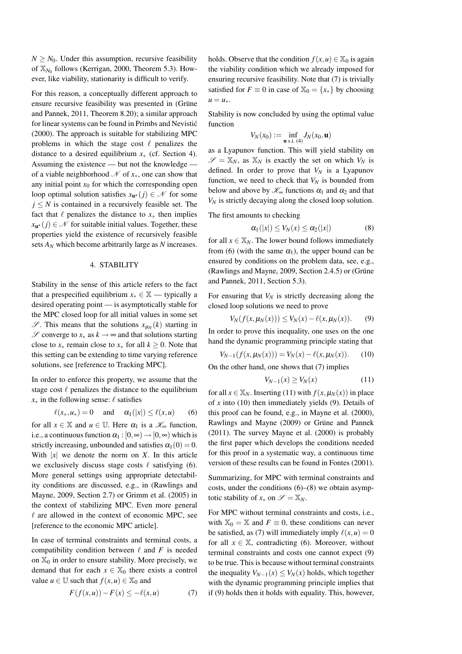$N \geq N_0$ . Under this assumption, recursive feasibility of  $\mathbb{X}_{N_0}$  follows (Kerrigan, 2000, Theorem 5.3). However, like viability, stationarity is difficult to verify.

For this reason, a conceptually different approach to ensure recursive feasibility was presented in (Grüne and Pannek, 2011, Theorem 8.20); a similar approach for linear systems can be found in Primbs and Nevistic´ (2000). The approach is suitable for stabilizing MPC problems in which the stage cost  $\ell$  penalizes the distance to a desired equilibrium  $x<sub>*</sub>$  (cf. Section 4). Assuming the existence — but not the knowledge of a viable neighborhood  $\mathcal N$  of  $x_*,$  one can show that any initial point  $x_0$  for which the corresponding open loop optimal solution satisfies  $x_{u^*}(j) \in \mathcal{N}$  for some  $j \leq N$  is contained in a recursively feasible set. The fact that  $\ell$  penalizes the distance to  $x_*$  then implies  $x_{\mathbf{u}^{\star}}(j) \in \mathcal{N}$  for suitable initial values. Together, these properties yield the existence of recursively feasible sets *AN* which become arbitrarily large as *N* increases.

#### 4. STABILITY

Stability in the sense of this article refers to the fact that a prespecified equilibrium  $x_* \in \mathbb{X}$  — typically a desired operating point — is asymptotically stable for the MPC closed loop for all initial values in some set  $\mathscr{S}$ . This means that the solutions  $x_{\mu}$ <sup>(*k*)</sup> starting in *S* converge to *x*<sub> $∗$ </sub> as *k* →  $\infty$  and that solutions starting close to  $x_*$  remain close to  $x_*$  for all  $k > 0$ . Note that this setting can be extending to time varying reference solutions, see [reference to Tracking MPC].

In order to enforce this property, we assume that the stage cost  $\ell$  penalizes the distance to the equilibrium  $x_*$  in the following sense:  $\ell$  satisfies

$$
\ell(x_*, u_*) = 0 \quad \text{and} \quad \alpha_1(|x|) \le \ell(x, u) \qquad (6)
$$

for all  $x \in \mathbb{X}$  and  $u \in \mathbb{U}$ . Here  $\alpha_1$  is a  $\mathcal{K}_\infty$  function, i.e., a continuous function  $\alpha_1 : [0, \infty) \to [0, \infty)$  which is strictly increasing, unbounded and satisfies  $\alpha_1(0) = 0$ . With  $|x|$  we denote the norm on *X*. In this article we exclusively discuss stage costs  $\ell$  satisfying (6). More general settings using appropriate detectability conditions are discussed, e.g., in (Rawlings and Mayne, 2009, Section 2.7) or Grimm et al. (2005) in the context of stabilizing MPC. Even more general  $\ell$  are allowed in the context of economic MPC, see [reference to the economic MPC article].

In case of terminal constraints and terminal costs, a compatibility condition between  $\ell$  and  $F$  is needed on  $\mathbb{X}_0$  in order to ensure stability. More precisely, we demand that for each  $x \in \mathbb{X}_0$  there exists a control value  $u \in \mathbb{U}$  such that  $f(x, u) \in \mathbb{X}_0$  and

$$
F(f(x, u)) - F(x) \le -\ell(x, u)
$$
 (7)

holds. Observe that the condition  $f(x, u) \in \mathbb{X}_0$  is again the viability condition which we already imposed for ensuring recursive feasibility. Note that (7) is trivially satisfied for  $F \equiv 0$  in case of  $X_0 = \{x_*\}$  by choosing  $u = u_*$ .

Stability is now concluded by using the optimal value function

$$
V_N(x_0) := \inf_{\mathbf{u} \text{ s.t. } (4)} J_N(x_0, \mathbf{u})
$$

as a Lyapunov function. This will yield stability on  $\mathscr{S} = \mathbb{X}_N$ , as  $\mathbb{X}_N$  is exactly the set on which  $V_N$  is defined. In order to prove that  $V_N$  is a Lyapunov function, we need to check that  $V_N$  is bounded from below and above by  $\mathcal{K}_{\infty}$  functions  $\alpha_1$  and  $\alpha_2$  and that *VN* is strictly decaying along the closed loop solution.

The first amounts to checking

$$
\alpha_1(|x|) \le V_N(x) \le \alpha_2(|x|) \tag{8}
$$

for all  $x \in \mathbb{X}_N$ . The lower bound follows immediately from (6) (with the same  $\alpha_1$ ), the upper bound can be ensured by conditions on the problem data, see, e.g., (Rawlings and Mayne, 2009, Section 2.4.5) or (Grüne and Pannek, 2011, Section 5.3).

For ensuring that  $V_N$  is strictly decreasing along the closed loop solutions we need to prove

$$
V_N(f(x, \mu_N(x))) \le V_N(x) - \ell(x, \mu_N(x)).
$$
 (9)

In order to prove this inequality, one uses on the one hand the dynamic programming principle stating that

$$
V_{N-1}(f(x, \mu_N(x))) = V_N(x) - \ell(x, \mu_N(x)).
$$
 (10)

On the other hand, one shows that (7) implies

$$
V_{N-1}(x) \ge V_N(x) \tag{11}
$$

for all  $x \in \mathbb{X}_N$ . Inserting (11) with  $f(x, \mu_N(x))$  in place of *x* into (10) then immediately yields (9). Details of this proof can be found, e.g., in Mayne et al. (2000), Rawlings and Mayne (2009) or Grüne and Pannek (2011). The survey Mayne et al. (2000) is probably the first paper which develops the conditions needed for this proof in a systematic way, a continuous time version of these results can be found in Fontes (2001).

Summarizing, for MPC with terminal constraints and costs, under the conditions  $(6)$ – $(8)$  we obtain asymptotic stability of  $x_*$  on  $\mathscr{S} = \mathbb{X}_N$ .

For MPC without terminal constraints and costs, i.e., with  $X_0 = X$  and  $F \equiv 0$ , these conditions can never be satisfied, as (7) will immediately imply  $\ell(x, u) = 0$ for all  $x \in \mathbb{X}$ , contradicting (6). Moreover, without terminal constraints and costs one cannot expect (9) to be true. This is because without terminal constraints the inequality  $V_{N-1}(x) \leq V_N(x)$  holds, which together with the dynamic programming principle implies that if (9) holds then it holds with equality. This, however,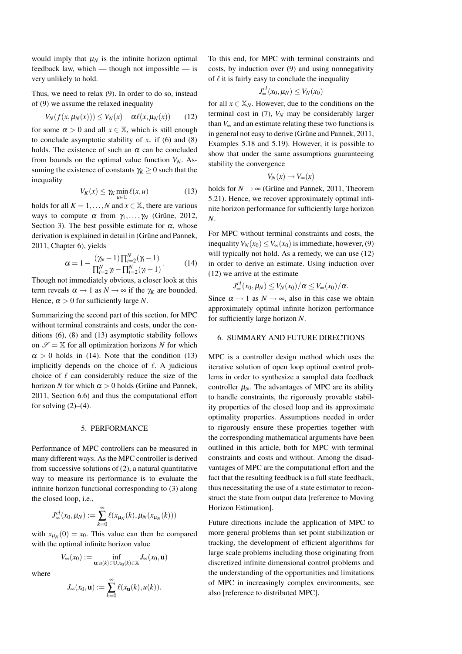would imply that  $\mu_N$  is the infinite horizon optimal feedback law, which — though not impossible — is very unlikely to hold.

Thus, we need to relax (9). In order to do so, instead of (9) we assume the relaxed inequality

$$
V_N(f(x, \mu_N(x))) \leq V_N(x) - \alpha \ell(x, \mu_N(x)) \qquad (12)
$$

for some  $\alpha > 0$  and all  $x \in \mathbb{X}$ , which is still enough to conclude asymptotic stability of  $x_*$  if (6) and (8) holds. The existence of such an  $\alpha$  can be concluded from bounds on the optimal value function  $V_N$ . Assuming the existence of constants  $\gamma_K \geq 0$  such that the inequality

$$
V_K(x) \le \gamma_K \min_{u \in \mathbb{U}} \ell(x, u) \tag{13}
$$

holds for all  $K = 1, ..., N$  and  $x \in \mathbb{X}$ , there are various ways to compute  $\alpha$  from  $\gamma_1, \ldots, \gamma_N$  (Grüne, 2012, Section 3). The best possible estimate for  $\alpha$ , whose derivation is explained in detail in (Grüne and Pannek, 2011, Chapter 6), yields

$$
\alpha = 1 - \frac{(\gamma - 1)\prod_{i=2}^{N}(\gamma - 1)}{\prod_{i=2}^{N} \gamma - \prod_{i=2}^{N}(\gamma - 1)}.
$$
 (14)

Though not immediately obvious, a closer look at this term reveals  $\alpha \rightarrow 1$  as  $N \rightarrow \infty$  if the  $\gamma_K$  are bounded. Hence,  $\alpha > 0$  for sufficiently large *N*.

Summarizing the second part of this section, for MPC without terminal constraints and costs, under the conditions (6), (8) and (13) asymptotic stability follows on  $\mathscr{S} = \mathbb{X}$  for all optimization horizons *N* for which  $\alpha > 0$  holds in (14). Note that the condition (13) implicitly depends on the choice of  $\ell$ . A judicious choice of  $\ell$  can considerably reduce the size of the horizon *N* for which  $\alpha > 0$  holds (Grüne and Pannek, 2011, Section 6.6) and thus the computational effort for solving  $(2)$ – $(4)$ .

## 5. PERFORMANCE

Performance of MPC controllers can be measured in many different ways. As the MPC controller is derived from successive solutions of (2), a natural quantitative way to measure its performance is to evaluate the infinite horizon functional corresponding to (3) along the closed loop, i.e.,

$$
J_{\infty}^{cl}(x_0,\mu_N) := \sum_{k=0}^{\infty} \ell(x_{\mu_N}(k),\mu_N(x_{\mu_N}(k)))
$$

with  $x_{\mu_N}(0) = x_0$ . This value can then be compared with the optimal infinite horizon value

$$
V_\infty(x_0):=\inf_{\mathbf{u}:\,u(k)\in\mathbb{U},x_\mathbf{u}(k)\in\mathbb{X}}J_\infty(x_0,\mathbf{u})
$$

where

$$
J_{\infty}(x_0, \mathbf{u}) := \sum_{k=0}^{\infty} \ell(x_{\mathbf{u}}(k), u(k)).
$$

To this end, for MPC with terminal constraints and costs, by induction over (9) and using nonnegativity of  $\ell$  it is fairly easy to conclude the inequality

$$
J^{cl}_{\infty}(x_0,\mu_N)\leq V_N(x_0)
$$

for all  $x \in \mathbb{X}_N$ . However, due to the conditions on the terminal cost in  $(7)$ ,  $V_N$  may be considerably larger than  $V_{\infty}$  and an estimate relating these two functions is in general not easy to derive (Grüne and Pannek, 2011, Examples 5.18 and 5.19). However, it is possible to show that under the same assumptions guaranteeing stability the convergence

$$
V_N(x) \to V_\infty(x)
$$

holds for  $N \rightarrow \infty$  (Grüne and Pannek, 2011, Theorem 5.21). Hence, we recover approximately optimal infinite horizon performance for sufficiently large horizon *N*.

For MPC without terminal constraints and costs, the inequality  $V_N(x_0) < V_\infty(x_0)$  is immediate, however, (9) will typically not hold. As a remedy, we can use  $(12)$ in order to derive an estimate. Using induction over (12) we arrive at the estimate

$$
J_{\infty}^{cl}(x_0,\mu_N)\leq V_N(x_0)/\alpha\leq V_{\infty}(x_0)/\alpha.
$$

Since  $\alpha \rightarrow 1$  as  $N \rightarrow \infty$ , also in this case we obtain approximately optimal infinite horizon performance for sufficiently large horizon *N*.

#### 6. SUMMARY AND FUTURE DIRECTIONS

MPC is a controller design method which uses the iterative solution of open loop optimal control problems in order to synthesize a sampled data feedback controller  $\mu_N$ . The advantages of MPC are its ability to handle constraints, the rigorously provable stability properties of the closed loop and its approximate optimality properties. Assumptions needed in order to rigorously ensure these properties together with the corresponding mathematical arguments have been outlined in this article, both for MPC with terminal constraints and costs and without. Among the disadvantages of MPC are the computational effort and the fact that the resulting feedback is a full state feedback, thus necessitating the use of a state estimator to reconstruct the state from output data [reference to Moving Horizon Estimation].

Future directions include the application of MPC to more general problems than set point stabilization or tracking, the development of efficient algorithms for large scale problems including those originating from discretized infinite dimensional control problems and the understanding of the opportunities and limitations of MPC in increasingly complex environments, see also [reference to distributed MPC].